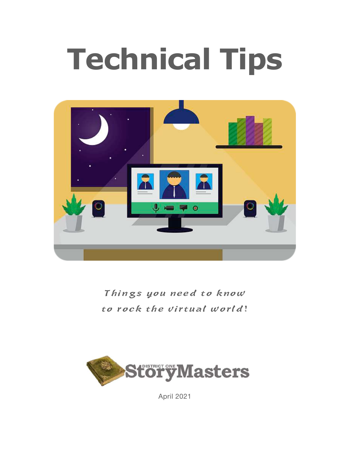# **Technical Tips**



Things you need to know to rock the virtual world!



April 2021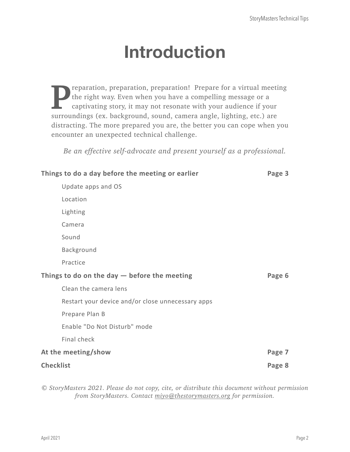# **Introduction**

**Preparation, preparation, preparation!** Prepare for a virtual meeting the right way. Even when you have a compelling message or a captivating story, it may not resonate with your audience if your the right way. Even when you have a compelling message or a captivating story, it may not resonate with your audience if your surroundings (ex. background, sound, camera angle, lighting, etc.) are distracting. The more prepared you are, the better you can cope when you encounter an unexpected technical challenge.

*Be an effective self-advocate and present yourself as a professional.*

| Things to do a day before the meeting or earlier<br>Page 3 |                                                   |        |
|------------------------------------------------------------|---------------------------------------------------|--------|
|                                                            | Update apps and OS                                |        |
| Location                                                   |                                                   |        |
| Lighting                                                   |                                                   |        |
| Camera                                                     |                                                   |        |
| Sound                                                      |                                                   |        |
| Background                                                 |                                                   |        |
| Practice                                                   |                                                   |        |
| Things to do on the day $-$ before the meeting<br>Page 6   |                                                   |        |
|                                                            |                                                   |        |
|                                                            | Clean the camera lens                             |        |
|                                                            | Restart your device and/or close unnecessary apps |        |
|                                                            | Prepare Plan B                                    |        |
|                                                            | Enable "Do Not Disturb" mode                      |        |
| Final check                                                |                                                   |        |
| At the meeting/show                                        |                                                   | Page 7 |

*© StoryMasters 2021. Please do not copy, cite, or distribute this document without permission from StoryMasters. Contact [miyo@thestorymasters.org](mailto:miyo@thestorymasters.org) for permission.*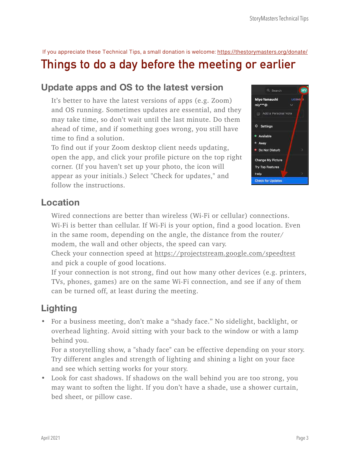If you appreciate these Technical Tips, a small donation is welcome:<https://thestorymasters.org/donate/>

## <span id="page-2-0"></span>**Things to do a day before the meeting or earlier**

## <span id="page-2-1"></span>**Update apps and OS to the latest version**

It's better to have the latest versions of apps (e.g. Zoom) and OS running. Sometimes updates are essential, and they may take time, so don't wait until the last minute. Do them ahead of time, and if something goes wrong, you still have time to find a solution.

To find out if your Zoom desktop client needs updating, open the app, and click your profile picture on the top right corner. (If you haven't set up your photo, the icon will appear as your initials.) Select "Check for updates," and follow the instructions.



## <span id="page-2-2"></span>**Location**

Wired connections are better than wireless (Wi-Fi or cellular) connections. Wi-Fi is better than cellular. If Wi-Fi is your option, find a good location. Even in the same room, depending on the angle, the distance from the router/ modem, the wall and other objects, the speed can vary.

Check your connection speed at <https://projectstream.google.com/speedtest> and pick a couple of good locations.

If your connection is not strong, find out how many other devices (e.g. printers, TVs, phones, games) are on the same Wi-Fi connection, and see if any of them can be turned off, at least during the meeting.

## <span id="page-2-3"></span>**Lighting**

• For a business meeting, don't make a "shady face." No sidelight, backlight, or overhead lighting. Avoid sitting with your back to the window or with a lamp behind you.

For a storytelling show, a "shady face" can be effective depending on your story. Try different angles and strength of lighting and shining a light on your face and see which setting works for your story.

• Look for cast shadows. If shadows on the wall behind you are too strong, you may want to soften the light. If you don't have a shade, use a shower curtain, bed sheet, or pillow case.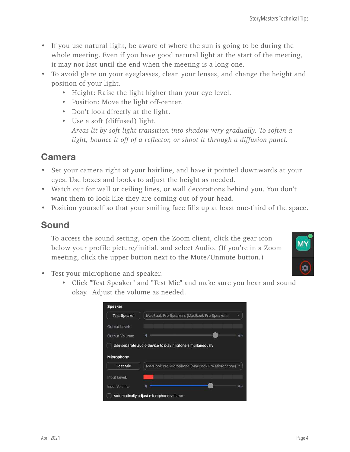- If you use natural light, be aware of where the sun is going to be during the whole meeting. Even if you have good natural light at the start of the meeting, it may not last until the end when the meeting is a long one.
- To avoid glare on your eyeglasses, clean your lenses, and change the height and position of your light.
	- Height: Raise the light higher than your eye level.
	- Position: Move the light off-center.
	- Don't look directly at the light.
	- Use a soft (diffused) light. *Areas lit by soft light transition into shadow very gradually. To soften a light, bounce it off of a reflector, or shoot it through a diffusion panel.*

## <span id="page-3-0"></span>**Camera**

- Set your camera right at your hairline, and have it pointed downwards at your eyes. Use boxes and books to adjust the height as needed.
- Watch out for wall or ceiling lines, or wall decorations behind you. You don't want them to look like they are coming out of your head.
- Position yourself so that your smiling face fills up at least one-third of the space.

#### <span id="page-3-1"></span>**Sound**

To access the sound setting, open the Zoom client, click the gear icon below your profile picture/initial, and select Audio. (If you're in a Zoom meeting, click the upper button next to the Mute/Unmute button.)



- Test your microphone and speaker.
	- Click "Test Speaker" and "Test Mic" and make sure you hear and sound okay. Adjust the volume as needed.

| <b>Test Speaker</b>                        | MacBook Pro Speakers (MacBook Pro Speakers)               |
|--------------------------------------------|-----------------------------------------------------------|
| Output Level:                              |                                                           |
|                                            |                                                           |
| <b>Output Volume:</b><br><b>Microphone</b> | Use separate audio device to play ringtone simultaneously |
|                                            |                                                           |
| <b>Test Mic</b>                            | MacBook Pro Microphone (MacBook Pro Microphone) ~         |
| Input Level:                               |                                                           |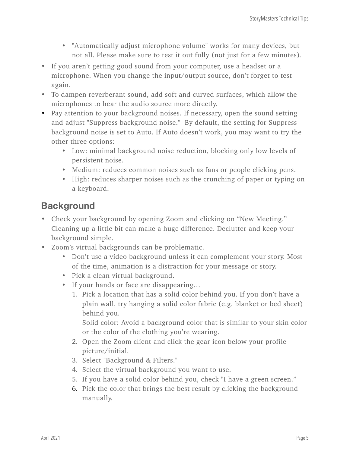- "Automatically adjust microphone volume" works for many devices, but not all. Please make sure to test it out fully (not just for a few minutes).
- If you aren't getting good sound from your computer, use a headset or a microphone. When you change the input/output source, don't forget to test again.
- To dampen reverberant sound, add soft and curved surfaces, which allow the microphones to hear the audio source more directly.
- Pay attention to your background noises. If necessary, open the sound setting and adjust "Suppress background noise." By default, the setting for Suppress background noise is set to Auto. If Auto doesn't work, you may want to try the other three options:
	- Low: minimal background noise reduction, blocking only low levels of persistent noise.
	- Medium: reduces common noises such as fans or people clicking pens.
	- High: reduces sharper noises such as the crunching of paper or typing on a keyboard.

## <span id="page-4-0"></span>**Background**

- Check your background by opening Zoom and clicking on "New Meeting." Cleaning up a little bit can make a huge difference. Declutter and keep your background simple.
- Zoom's virtual backgrounds can be problematic.
	- Don't use a video background unless it can complement your story. Most of the time, animation is a distraction for your message or story.
	- Pick a clean virtual background.
	- If your hands or face are disappearing…
		- 1. Pick a location that has a solid color behind you. If you don't have a plain wall, try hanging a solid color fabric (e.g. blanket or bed sheet) behind you.

Solid color: Avoid a background color that is similar to your skin color or the color of the clothing you're wearing.

- 2. Open the Zoom client and click the gear icon below your profile picture/initial.
- 3. Select "Background & Filters."
- 4. Select the virtual background you want to use.
- 5. If you have a solid color behind you, check "I have a green screen."
- 6. Pick the color that brings the best result by clicking the background manually.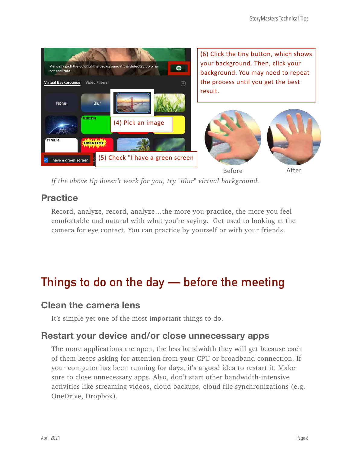

*If the above tip doesn't work for you, try "Blur" virtual background.* 

### <span id="page-5-0"></span>**Practice**

Record, analyze, record, analyze…the more you practice, the more you feel comfortable and natural with what you're saying. Get used to looking at the camera for eye contact. You can practice by yourself or with your friends.

## <span id="page-5-1"></span>**Things to do on the day — before the meeting**

#### <span id="page-5-2"></span>**Clean the camera lens**

It's simple yet one of the most important things to do.

#### <span id="page-5-3"></span>**Restart your device and/or close unnecessary apps**

**T**he more applications are open, the less bandwidth they will get because each of them keeps asking for attention from your CPU or broadband connection. If your computer has been running for days, it's a good idea to restart it. Make sure to close unnecessary apps. Also, don't start other bandwidth-intensive activities like streaming videos, cloud backups, cloud file synchronizations (e.g. OneDrive, Dropbox).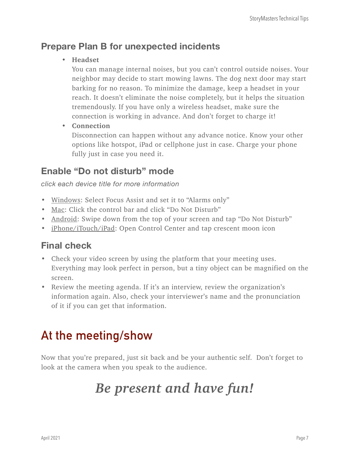## <span id="page-6-0"></span>**Prepare Plan B for unexpected incidents**

• **Headset**

You can manage internal noises, but you can't control outside noises. Your neighbor may decide to start mowing lawns. The dog next door may start barking for no reason. To minimize the damage, keep a headset in your reach. It doesn't eliminate the noise completely, but it helps the situation tremendously. If you have only a wireless headset, make sure the connection is working in advance. And don't forget to charge it!

• **Connection**

Disconnection can happen without any advance notice. Know your other options like hotspot, iPad or cellphone just in case. Charge your phone fully just in case you need it.

## <span id="page-6-1"></span>**Enable "Do not disturb" mode**

*click each device title for more information*

- [Windows:](https://support.microsoft.com/en-us/windows/turn-focus-assist-on-or-off-in-windows-10-5492a638-b5a3-1ee0-0c4f-5ae044450e09) Select Focus Assist and set it to "Alarms only"
- [Mac:](https://support.apple.com/guide/mac-help/use-do-not-disturb-mchl999b7c1a/mac) Click the control bar and click "Do Not Disturb"
- [Android:](https://support.google.com/android/answer/9069335?hl=en) Swipe down from the top of your screen and tap "Do Not Disturb"
- [iPhone/iTouch/iPad](https://support.apple.com/en-us/HT204321): Open Control Center and tap crescent moon icon

## <span id="page-6-2"></span>**Final check**

- Check your video screen by using the platform that your meeting uses. Everything may look perfect in person, but a tiny object can be magnified on the screen.
- Review the meeting agenda. If it's an interview, review the organization's information again. Also, check your interviewer's name and the pronunciation of it if you can get that information.

## <span id="page-6-3"></span>**At the meeting/show**

Now that you're prepared, just sit back and be your authentic self. Don't forget to look at the camera when you speak to the audience.

## *Be present and have fun!*